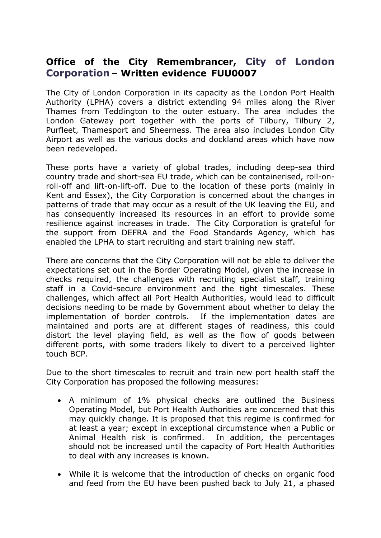## **Office of the City Remembrancer, City of London Corporation – Written evidence  FUU0007**

The City of London Corporation in its capacity as the London Port Health Authority (LPHA) covers a district extending 94 miles along the River Thames from Teddington to the outer estuary. The area includes the London Gateway port together with the ports of Tilbury, Tilbury 2, Purfleet, Thamesport and Sheerness. The area also includes London City Airport as well as the various docks and dockland areas which have now been redeveloped.

These ports have a variety of global trades, including deep-sea third country trade and short-sea EU trade, which can be containerised, roll-onroll-off and lift-on-lift-off. Due to the location of these ports (mainly in Kent and Essex), the City Corporation is concerned about the changes in patterns of trade that may occur as a result of the UK leaving the EU, and has consequently increased its resources in an effort to provide some resilience against increases in trade. The City Corporation is grateful for the support from DEFRA and the Food Standards Agency, which has enabled the LPHA to start recruiting and start training new staff.

There are concerns that the City Corporation will not be able to deliver the expectations set out in the Border Operating Model, given the increase in checks required, the challenges with recruiting specialist staff, training staff in a Covid-secure environment and the tight timescales. These challenges, which affect all Port Health Authorities, would lead to difficult decisions needing to be made by Government about whether to delay the implementation of border controls. If the implementation dates are maintained and ports are at different stages of readiness, this could distort the level playing field, as well as the flow of goods between different ports, with some traders likely to divert to a perceived lighter touch BCP.

Due to the short timescales to recruit and train new port health staff the City Corporation has proposed the following measures:

- A minimum of 1% physical checks are outlined the Business Operating Model, but Port Health Authorities are concerned that this may quickly change. It is proposed that this regime is confirmed for at least a year; except in exceptional circumstance when a Public or Animal Health risk is confirmed. In addition, the percentages should not be increased until the capacity of Port Health Authorities to deal with any increases is known.
- While it is welcome that the introduction of checks on organic food and feed from the EU have been pushed back to July 21, a phased